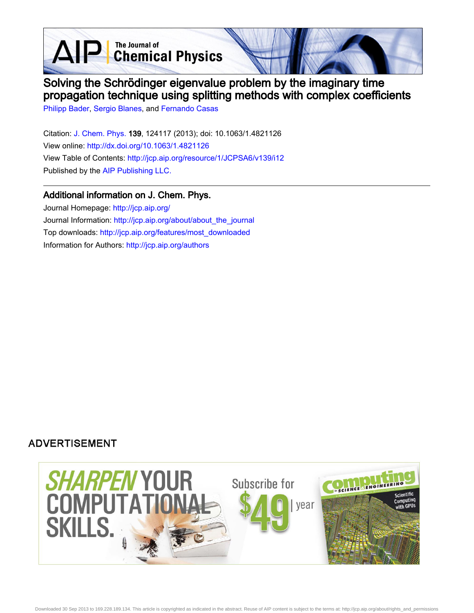AIP Chemical Physics

# Solving the Schrödinger eigenvalue problem by the imaginary time propagation technique using splitting methods with complex coefficients

[Philipp Bader](http://jcp.aip.org/search?sortby=newestdate&q=&searchzone=2&searchtype=searchin&faceted=faceted&key=AIP_ALL&possible1=Philipp Bader&possible1zone=author&alias=&displayid=AIP&ver=pdfcov), [Sergio Blanes](http://jcp.aip.org/search?sortby=newestdate&q=&searchzone=2&searchtype=searchin&faceted=faceted&key=AIP_ALL&possible1=Sergio Blanes&possible1zone=author&alias=&displayid=AIP&ver=pdfcov), and [Fernando Casas](http://jcp.aip.org/search?sortby=newestdate&q=&searchzone=2&searchtype=searchin&faceted=faceted&key=AIP_ALL&possible1=Fernando Casas&possible1zone=author&alias=&displayid=AIP&ver=pdfcov)

Citation: [J. Chem. Phys. 1](http://jcp.aip.org/?ver=pdfcov)39, 124117 (2013); doi: 10.1063/1.4821126 View online: [http://dx.doi.org/10.1063/1.4821126](http://link.aip.org/link/doi/10.1063/1.4821126?ver=pdfcov) View Table of Contents: [http://jcp.aip.org/resource/1/JCPSA6/v139/i12](http://jcp.aip.org/resource/1/JCPSA6/v139/i12?ver=pdfcov) Published by the [AIP Publishing LLC.](http://www.aip.org/?ver=pdfcov)

## Additional information on J. Chem. Phys.

Journal Homepage: [http://jcp.aip.org/](http://jcp.aip.org/?ver=pdfcov) Journal Information: [http://jcp.aip.org/about/about\\_the\\_journal](http://jcp.aip.org/about/about_the_journal?ver=pdfcov) Top downloads: [http://jcp.aip.org/features/most\\_downloaded](http://jcp.aip.org/features/most_downloaded?ver=pdfcov) Information for Authors: [http://jcp.aip.org/authors](http://jcp.aip.org/authors?ver=pdfcov)

## **ADVERTISEMENT**

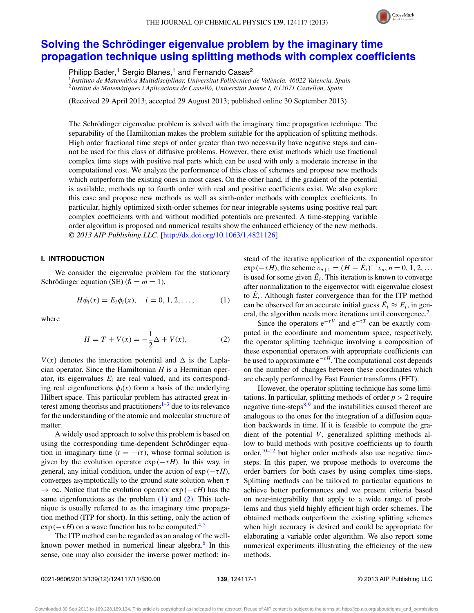#### THE JOURNAL OF CHEMICAL PHYSICS **139**, 124117 (2013)



## **[Solving the Schrödinger eigenvalue problem by the imaginary time](http://dx.doi.org/10.1063/1.4821126) [propagation technique using splitting methods with complex coefficients](http://dx.doi.org/10.1063/1.4821126)**

Philipp Bader,<sup>1</sup> Sergio Blanes,<sup>1</sup> and Fernando Casas<sup>2</sup>

<sup>1</sup>*Instituto de Matemática Multidisciplinar, Universitat Politècnica de València, 46022 Valencia, Spain* <sup>2</sup>*Institut de Matemàtiques i Aplicacions de Castelló, Universitat Jaume I, E12071 Castellón, Spain*

(Received 29 April 2013; accepted 29 August 2013; published online 30 September 2013)

The Schrödinger eigenvalue problem is solved with the imaginary time propagation technique. The separability of the Hamiltonian makes the problem suitable for the application of splitting methods. High order fractional time steps of order greater than two necessarily have negative steps and cannot be used for this class of diffusive problems. However, there exist methods which use fractional complex time steps with positive real parts which can be used with only a moderate increase in the computational cost. We analyze the performance of this class of schemes and propose new methods which outperform the existing ones in most cases. On the other hand, if the gradient of the potential is available, methods up to fourth order with real and positive coefficients exist. We also explore this case and propose new methods as well as sixth-order methods with complex coefficients. In particular, highly optimized sixth-order schemes for near integrable systems using positive real part complex coefficients with and without modified potentials are presented. A time-stepping variable order algorithm is proposed and numerical results show the enhanced efficiency of the new methods. *© 2013 AIP Publishing LLC*. [\[http://dx.doi.org/10.1063/1.4821126\]](http://dx.doi.org/10.1063/1.4821126)

## **I. INTRODUCTION**

We consider the eigenvalue problem for the stationary Schrödinger equation (SE)  $(h = m = 1)$ ,

$$
H\phi_i(x) = E_i\phi_i(x), \quad i = 0, 1, 2, \dots,
$$
 (1)

<span id="page-1-1"></span>where

$$
H = T + V(x) = -\frac{1}{2}\Delta + V(x),
$$
 (2)

 $V(x)$  denotes the interaction potential and  $\Delta$  is the Laplacian operator. Since the Hamiltonian *H* is a Hermitian operator, its eigenvalues  $E_i$  are real valued, and its corresponding real eigenfunctions  $\phi_i(x)$  form a basis of the underlying Hilbert space. This particular problem has attracted great in-terest among theorists and practitioners<sup>[1–](#page-10-0)[3](#page-10-1)</sup> due to its relevance for the understanding of the atomic and molecular structure of matter.

A widely used approach to solve this problem is based on using the corresponding time-dependent Schrödinger equation in imaginary time  $(t = -i\tau)$ , whose formal solution is given by the evolution operator  $exp(-\tau H)$ . In this way, in general, any initial condition, under the action of  $exp(-\tau H)$ , converges asymptotically to the ground state solution when *τ* → ∞. Notice that the evolution operator exp (−*τH*) has the same eigenfunctions as the problem  $(1)$  and  $(2)$ . This technique is usually referred to as the imaginary time propagation method (ITP for short). In this setting, only the action of  $\exp(-\tau H)$  on a wave function has to be computed.<sup>[4,](#page-10-2)[5](#page-10-3)</sup>

The ITP method can be regarded as an analog of the wellknown power method in numerical linear algebra.<sup>6</sup> In this sense, one may also consider the inverse power method: in<span id="page-1-0"></span>stead of the iterative application of the exponential operator  $\exp(-\tau H)$ , the scheme  $v_{n+1} = (H - \tilde{E}_i)^{-1} v_n$ ,  $n = 0, 1, 2, ...$ is used for some given  $E_i$ . This iteration is known to converge after normalization to the eigenvector with eigenvalue closest to  $E_i$ . Although faster convergence than for the ITP method can be observed for an accurate initial guess  $E_i \approx E_i$ , in gen-eral, the algorithm needs more iterations until convergence.<sup>[7](#page-10-5)</sup>

Since the operators  $e^{-\tau V}$  and  $e^{-\tau T}$  can be exactly computed in the coordinate and momentum space, respectively, the operator splitting technique involving a composition of these exponential operators with appropriate coefficients can be used to approximate  $e^{-\tau H}$ . The computational cost depends on the number of changes between these coordinates which are cheaply performed by Fast Fourier transforms (FFT).

However, the operator splitting technique has some limitations. In particular, splitting methods of order  $p > 2$  require negative time-steps $8,9$  $8,9$  and the instabilities caused thereof are analogous to the ones for the integration of a diffusion equation backwards in time. If it is feasible to compute the gradient of the potential *V*, generalized splitting methods allow to build methods with positive coefficients up to fourth order,  $10-12$  $10-12$  but higher order methods also use negative timesteps. In this paper, we propose methods to overcome the order barriers for both cases by using complex time-steps. Splitting methods can be tailored to particular equations to achieve better performances and we present criteria based on near-integrability that apply to a wide range of problems and thus yield highly efficient high order schemes. The obtained methods outperform the existing splitting schemes when high accuracy is desired and could be appropriate for elaborating a variable order algorithm. We also report some numerical experiments illustrating the efficiency of the new methods.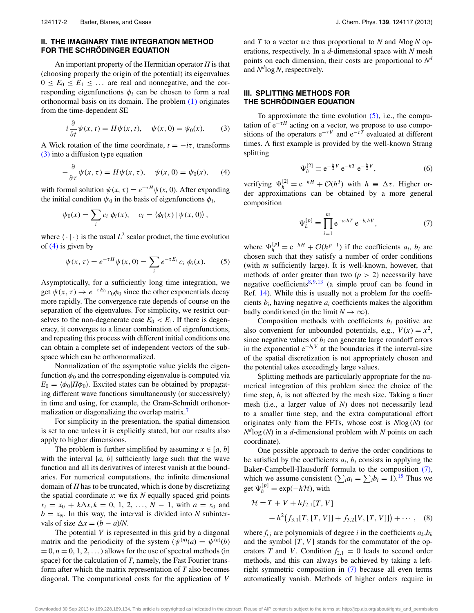## **II. THE IMAGINARY TIME INTEGRATION METHOD FOR THE SCHRÖDINGER EQUATION**

An important property of the Hermitian operator *H* is that (choosing properly the origin of the potential) its eigenvalues  $0 \leq E_0 \leq E_1 \leq \ldots$  are real and nonnegative, and the corresponding eigenfunctions  $\phi_i$  can be chosen to form a real orthonormal basis on its domain. The problem [\(1\)](#page-1-0) originates from the time-dependent SE

<span id="page-2-0"></span>
$$
i\frac{\partial}{\partial t}\psi(x,t) = H\psi(x,t), \quad \psi(x,0) = \psi_0(x). \tag{3}
$$

A Wick rotation of the time coordinate,  $t = -i\tau$ , transforms [\(3\)](#page-2-0) into a diffusion type equation

<span id="page-2-1"></span>
$$
-\frac{\partial}{\partial \tau}\psi(x,\tau) = H\psi(x,\tau), \quad \psi(x,0) = \psi_0(x), \quad (4)
$$

with formal solution  $\psi(x, \tau) = e^{-\tau H} \psi(x, 0)$ . After expanding the initial condition  $\psi_0$  in the basis of eigenfunctions  $\phi_i$ ,

$$
\psi_0(x) = \sum_i c_i \, \phi_i(x), \quad c_i = \langle \phi_i(x) \, | \, \psi(x, 0) \rangle \, ,
$$

where  $\langle \cdot | \cdot \rangle$  is the usual  $L^2$  scalar product, the time evolution of  $(4)$  is given by

<span id="page-2-2"></span>
$$
\psi(x,\tau) = e^{-\tau H} \psi(x,0) = \sum_{i} e^{-\tau E_i} c_i \phi_i(x).
$$
 (5)

Asymptotically, for a sufficiently long time integration, we get  $\psi(x, \tau) \to e^{-\tau E_0} c_0 \phi_0$  since the other exponentials decay more rapidly. The convergence rate depends of course on the separation of the eigenvalues. For simplicity, we restrict ourselves to the non-degenerate case  $E_0 \, \langle E_1 \rangle$ . If there is degeneracy, it converges to a linear combination of eigenfunctions, and repeating this process with different initial conditions one can obtain a complete set of independent vectors of the subspace which can be orthonormalized.

Normalization of the asymptotic value yields the eigenfunction  $\phi_0$  and the corresponding eigenvalue is computed via  $E_0 = \langle \phi_0 | H \phi_0 \rangle$ . Excited states can be obtained by propagating different wave functions simultaneously (or successively) in time and using, for example, the Gram-Schmidt orthonormalization or diagonalizing the overlap matrix.<sup>7</sup>

For simplicity in the presentation, the spatial dimension is set to one unless it is explicitly stated, but our results also apply to higher dimensions.

The problem is further simplified by assuming  $x \in [a, b]$ with the interval [*a*, *b*] sufficiently large such that the wave function and all its derivatives of interest vanish at the boundaries. For numerical computations, the infinite dimensional domain of *H* has to be truncated, which is done by discretizing the spatial coordinate *x*: we fix *N* equally spaced grid points  $x_i = x_0 + k\Delta x, k = 0, 1, 2, ..., N - 1$ , with  $a = x_0$  and  $b = x_N$ . In this way, the interval is divided into *N* subintervals of size  $\Delta x = (b - a)/N$ .

The potential *V* is represented in this grid by a diagonal matrix and the periodicity of the system  $(\psi^{(n)}(a) = \psi^{(n)}(b))$  $= 0, n = 0, 1, 2, \ldots$ ) allows for the use of spectral methods (in space) for the calculation of *T*, namely, the Fast Fourier transform after which the matrix representation of *T* also becomes diagonal. The computational costs for the application of *V* and *T* to a vector are thus proportional to *N* and *N*log *N* operations, respectively. In a *d*-dimensional space with *N* mesh points on each dimension, their costs are proportional to *Nd* and *Nd*log*N*, respectively.

## **III. SPLITTING METHODS FOR THE SCHRÖDINGER EQUATION**

To approximate the time evolution  $(5)$ , i.e., the computation of  $e^{-\tau H}$  acting on a vector, we propose to use compositions of the operators  $e^{-\tau V}$  and  $e^{-\tau T}$  evaluated at different times. A first example is provided by the well-known Strang splitting

<span id="page-2-4"></span>
$$
\Psi_h^{[2]} \equiv e^{-\frac{h}{2}V} e^{-hT} e^{-\frac{h}{2}V}, \tag{6}
$$

verifying  $\Psi_h^{[2]} = e^{-hH} + \mathcal{O}(h^3)$  with  $h \equiv \Delta \tau$ . Higher order approximations can be obtained by a more general composition

<span id="page-2-3"></span>
$$
\Psi_h^{[p]} \equiv \prod_{i=1}^m e^{-a_i hT} e^{-b_i hV}, \tag{7}
$$

where  $\Psi_h^{[p]} = e^{-hH} + \mathcal{O}(h^{p+1})$  if the coefficients  $a_i, b_i$  are chosen such that they satisfy a number of order conditions (with *m* sufficiently large). It is well-known, however, that methods of order greater than two  $(p > 2)$  necessarily have negative coefficients<sup>8, [9,](#page-10-7) [13](#page-11-1)</sup> (a simple proof can be found in Ref. [14\)](#page-11-2). While this is usually not a problem for the coefficients *bi*, having negative *ai* coefficients makes the algorithm badly conditioned (in the limit  $N \to \infty$ ).

Composition methods with coefficients  $b_i$  positive are also convenient for unbounded potentials, e.g.,  $V(x) = x^2$ , since negative values of  $b_i$  can generate large roundoff errors in the exponential  $e^{-b_i V}$  at the boundaries if the interval-size of the spatial discretization is not appropriately chosen and the potential takes exceedingly large values.

Splitting methods are particularly appropriate for the numerical integration of this problem since the choice of the time step, *h*, is not affected by the mesh size. Taking a finer mesh (i.e., a larger value of *N*) does not necessarily lead to a smaller time step, and the extra computational effort originates only from the FFTs, whose cost is *N*log (*N*) (or  $N^{d}$ log (*N*) in a *d*-dimensional problem with *N* points on each coordinate).

One possible approach to derive the order conditions to be satisfied by the coefficients  $a_i$ ,  $b_i$  consists in applying the Baker-Campbell-Hausdorff formula to the composition [\(7\),](#page-2-3) which we assume consistent  $(\sum_i a_i = \sum_i b_i = 1)^{15}$  $(\sum_i a_i = \sum_i b_i = 1)^{15}$  $(\sum_i a_i = \sum_i b_i = 1)^{15}$  Thus we get  $\Psi_h^{[p]} = \exp(-h\mathcal{H})$ , with

<span id="page-2-5"></span>
$$
\mathcal{H} = T + V + hf_{2,1}[T, V] + h^{2}(f_{3,1}[T, [T, V]] + f_{3,2}[V, [T, V]]) + \cdots, (8)
$$

where  $f_{i,j}$  are polynomials of degree *i* in the coefficients  $a_k, b_k$ and the symbol  $[T, V]$  stands for the commutator of the operators *T* and *V*. Condition  $f_{2,1} = 0$  leads to second order methods, and this can always be achieved by taking a leftright symmetric composition in [\(7\)](#page-2-3) because all even terms automatically vanish. Methods of higher orders require in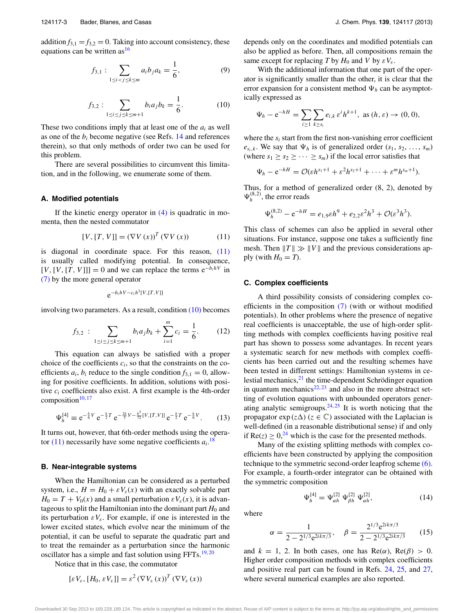addition  $f_{3,1} = f_{3,2} = 0$ . Taking into account consistency, these equations can be written as  $16$ 

$$
f_{3,1} : \sum_{1 \le i < j \le k \le m} a_i b_j a_k = \frac{1}{6},\tag{9}
$$

$$
f_{3,2} : \sum_{1 \le i \le j \le k \le m+1} b_i a_j b_k = \frac{1}{6}.
$$
 (10)

<span id="page-3-1"></span>These two conditions imply that at least one of the *ai* as well as one of the  $b_i$  become negative (see Refs.  $14$  and references therein), so that only methods of order two can be used for this problem.

There are several possibilities to circumvent this limitation, and in the following, we enumerate some of them.

#### **A. Modified potentials**

If the kinetic energy operator in  $(4)$  is quadratic in momenta, then the nested commutator

<span id="page-3-0"></span>
$$
[V, [T, V]] = (\nabla V(x))^{T} (\nabla V(x)) \tag{11}
$$

is diagonal in coordinate space. For this reason, [\(11\)](#page-3-0) is usually called modifying potential. In consequence,  $[V, [V, [T, V]]] = 0$  and we can replace the terms  $e^{-b_i hV}$  in [\(7\)](#page-2-3) by the more general operator

$$
e^{-b_i hV - c_i h^3[V,[T,V]]}
$$

involving two parameters. As a result, condition [\(10\)](#page-3-1) becomes

$$
f_{3,2} : \sum_{1 \le i \le j \le k \le m+1} b_i a_j b_k + \sum_{i=1}^m c_i = \frac{1}{6}.
$$
 (12)

This equation can always be satisfied with a proper choice of the coefficients *ci*, so that the constraints on the coefficients  $a_i$ ,  $b_i$  reduce to the single condition  $f_{3,1} = 0$ , allowing for positive coefficients. In addition, solutions with positive  $c_i$  coefficients also exist. A first example is the 4th-order composition $10, 17$  $10, 17$ 

<span id="page-3-3"></span>
$$
\Psi_h^{[4]} \equiv e^{-\frac{h}{6}V} e^{-\frac{h}{2}T} e^{-\frac{2h}{3}V - \frac{h^3}{72}[V, [T, V]]} e^{-\frac{h}{2}T} e^{-\frac{h}{6}V}.
$$
 (13)

It turns out, however, that 6th-order methods using the operator  $(11)$  necessarily have some negative coefficients  $a_i$ .<sup>[18](#page-11-6)</sup>

#### **B. Near-integrable systems**

When the Hamiltonian can be considered as a perturbed system, i.e.,  $H = H_0 + \varepsilon V_{\varepsilon}(x)$  with an exactly solvable part  $H_0 = T + V_0(x)$  and a small perturbation  $\epsilon V_{\epsilon}(x)$ , it is advantageous to split the Hamiltonian into the dominant part  $H_0$  and its perturbation  $\epsilon V_{\epsilon}$ . For example, if one is interested in the lower excited states, which evolve near the minimum of the potential, it can be useful to separate the quadratic part and to treat the remainder as a perturbation since the harmonic oscillator has a simple and fast solution using  $FFTs$ .<sup>[19,](#page-11-7) [20](#page-11-8)</sup>

Notice that in this case, the commutator

$$
[\varepsilon V_{\varepsilon}, [H_0, \varepsilon V_{\varepsilon}]] = \varepsilon^2 (\nabla V_{\varepsilon}(x))^T (\nabla V_{\varepsilon}(x))
$$

depends only on the coordinates and modified potentials can also be applied as before. Then, all compositions remain the same except for replacing *T* by  $H_0$  and *V* by  $\epsilon V_{\epsilon}$ .

With the additional information that one part of the operator is significantly smaller than the other, it is clear that the error expansion for a consistent method  $\Psi_h$  can be asymptotically expressed as

$$
\Psi_h - e^{-hH} = \sum_{i \ge 1} \sum_{k \ge s_i} e_{i,k} \, \varepsilon^i h^{k+1}, \text{ as } (h, \varepsilon) \to (0, 0),
$$

where the  $s_i$  start from the first non-vanishing error coefficient  $e_{s_i,k}$ . We say that  $\Psi_h$  is of generalized order  $(s_1, s_2, \ldots, s_m)$ (where  $s_1 \geq s_2 \geq \cdots \geq s_m$ ) if the local error satisfies that

$$
\Psi_h - e^{-hH} = \mathcal{O}(\varepsilon h^{s_1+1} + \varepsilon^2 h^{s_2+1} + \cdots + \varepsilon^m h^{s_m+1}).
$$

Thus, for a method of generalized order (8, 2), denoted by  $\Psi_h^{(8,2)}$ , the error reads

$$
\Psi_h^{(8,2)} - e^{-hH} = e_{1,9} \varepsilon h^9 + e_{2,2} \varepsilon^2 h^3 + \mathcal{O}(\varepsilon^3 h^3).
$$

This class of schemes can also be applied in several other situations. For instance, suppose one takes a sufficiently fine mesh. Then  $||T|| \gg ||V||$  and the previous considerations apply (with  $H_0 = T$ ).

## **C. Complex coefficients**

A third possibility consists of considering complex coefficients in the composition  $(7)$  (with or without modified potentials). In other problems where the presence of negative real coefficients is unacceptable, the use of high-order splitting methods with complex coefficients having positive real part has shown to possess some advantages. In recent years a systematic search for new methods with complex coefficients has been carried out and the resulting schemes have been tested in different settings: Hamiltonian systems in celestial mechanics,<sup>21</sup> the time-dependent Schrödinger equation in quantum mechanics $22, 23$  $22, 23$  $22, 23$  and also in the more abstract setting of evolution equations with unbounded operators generating analytic semigroups.  $24, 25$  $24, 25$  It is worth noticing that the propagator  $\exp(z\Delta)$  ( $z \in \mathbb{C}$ ) associated with the Laplacian is well-defined (in a reasonable distributional sense) if and only if  $\text{Re}(z) \geq 0$ <sup>[24](#page-11-12)</sup>, which is the case for the presented methods.

Many of the existing splitting methods with complex coefficients have been constructed by applying the composition technique to the symmetric second-order leapfrog scheme [\(6\).](#page-2-4) For example, a fourth-order integrator can be obtained with the symmetric composition

<span id="page-3-2"></span>
$$
\Psi_h^{[4]} = \Psi_{\alpha h}^{[2]} \Psi_{\beta h}^{[2]} \Psi_{\alpha h}^{[2]},\tag{14}
$$

where

$$
\alpha = \frac{1}{2 - 2^{1/3} e^{2ik\pi/3}}, \quad \beta = \frac{2^{1/3} e^{2ik\pi/3}}{2 - 2^{1/3} e^{2ik\pi/3}}
$$
(15)

and  $k = 1$ , 2. In both cases, one has  $\text{Re}(\alpha)$ ,  $\text{Re}(\beta) > 0$ . Higher order composition methods with complex coefficients and positive real part can be found in Refs. [24,](#page-11-12) [25,](#page-11-13) and [27,](#page-11-14) where several numerical examples are also reported.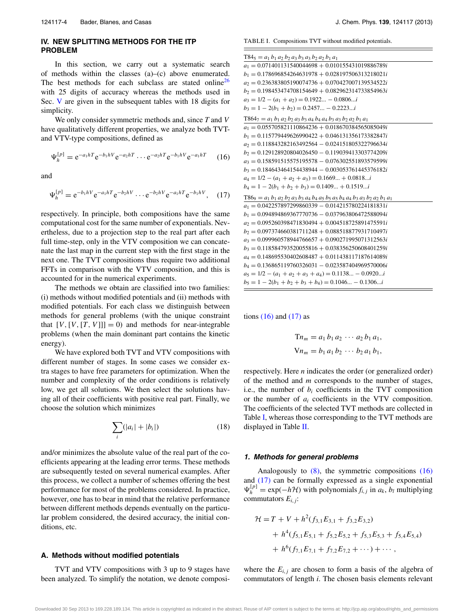## **IV. NEW SPLITTING METHODS FOR THE ITP PROBLEM**

In this section, we carry out a systematic search of methods within the classes (a)–(c) above enumerated. The best methods for each subclass are stated online<sup>[26](#page-11-15)</sup> with 25 digits of accuracy whereas the methods used in Sec. [V](#page-7-0) are given in the subsequent tables with 18 digits for simplicity.

We only consider symmetric methods and, since *T* and *V* have qualitatively different properties, we analyze both TVTand VTV-type compositions, defined as

$$
\Psi_h^{[p]} = e^{-a_1 h T} e^{-b_1 h V} e^{-a_2 h T} \cdots e^{-a_2 h T} e^{-b_1 h V} e^{-a_1 h T}
$$
 (16)

and

$$
\Psi_h^{[p]} = e^{-b_1hV} e^{-a_1hT} e^{-b_2hV} \cdots e^{-b_2hV} e^{-a_1hT} e^{-b_1hV}, \quad (17)
$$

respectively. In principle, both compositions have the same computational cost for the same number of exponentials. Nevertheless, due to a projection step to the real part after each full time-step, only in the VTV composition we can concatenate the last map in the current step with the first stage in the next one. The TVT compositions thus require two additional FFTs in comparison with the VTV composition, and this is accounted for in the numerical experiments.

The methods we obtain are classified into two families: (i) methods without modified potentials and (ii) methods with modified potentials. For each class we distinguish between methods for general problems (with the unique constraint that  $[V, [V, [T, V]]] = 0$  and methods for near-integrable problems (when the main dominant part contains the kinetic energy).

We have explored both TVT and VTV compositions with different number of stages. In some cases we consider extra stages to have free parameters for optimization. When the number and complexity of the order conditions is relatively low, we get all solutions. We then select the solutions having all of their coefficients with positive real part. Finally, we choose the solution which minimizes

<span id="page-4-3"></span>
$$
\sum_{i} (|a_i| + |b_i|) \tag{18}
$$

and/or minimizes the absolute value of the real part of the coefficients appearing at the leading error terms. These methods are subsequently tested on several numerical examples. After this process, we collect a number of schemes offering the best performance for most of the problems considered. In practice, however, one has to bear in mind that the relative performance between different methods depends eventually on the particular problem considered, the desired accuracy, the initial conditions, etc.

#### **A. Methods without modified potentials**

TVT and VTV compositions with 3 up to 9 stages have been analyzed. To simplify the notation, we denote composi<span id="page-4-2"></span>TABLE I. Compositions TVT without modified potentials.

<span id="page-4-0"></span>

| $T84_5 = a_1 b_1 a_2 b_2 a_3 b_3 a_3 b_2 a_2 b_1 a_1$                                |
|--------------------------------------------------------------------------------------|
| $a_1 = 0.071401131540044698 + 0.010155431019886789i$                                 |
| $b_1 = 0.178696854264631978 + 0.028197506313218021i$                                 |
| $a_2 = 0.236383805190074736 + 0.070427007139534522i$                                 |
| $b_2 = 0.198453474708154649 + 0.082962314733854963i$                                 |
| $a_3 = 1/2 - (a_1 + a_2) = 0.1922 - 0.0806i$                                         |
| $b_3 = 1 - 2(b_1 + b_2) = 0.2457 - 0.2223i$                                          |
| $T864_7 = a_1 b_1 a_2 b_2 a_3 b_3 a_4 b_4 a_4 b_3 a_3 b_2 a_2 b_1 a_1$               |
| $a_1 = 0.055705821110864236 + 0.018670384565085049i$                                 |
| $b_1 = 0.115779449626990422 + 0.046131356173382847i$                                 |
| $a_2 = 0.118843282163492564 - 0.024151805322796634i$                                 |
| $b_2 = 0.129128920804026450 - 0.119039413303774209i$                                 |
| $a_3 = 0.158591515575195578 - 0.076302551893579599i$                                 |
| $b_3 = 0.184643464154438944 - 0.003053761445376182i$                                 |
| $a_4 = 1/2 - (a_1 + a_2 + a_3) = 0.1669 + 0.0818$                                    |
| $b_4 = 1 - 2(b_1 + b_2 + b_3) = 0.1409 + 0.1519i$                                    |
| $T869 = a_1 b_1 a_2 b_2 a_3 b_3 a_4 b_4 a_5 b_5 a_5 b_4 a_4 b_3 a_3 b_2 a_2 b_1 a_1$ |
| $a_1 = 0.042257897299860339 - 0.014215780224181831i$                                 |
| $b_1 = 0.094894869367770736 - 0.037963806472588094i$                                 |
| $a_2 = 0.095260398471830494 + 0.004518725891475591i$                                 |
| $b_2 = 0.097374660381711248 + 0.088518877931710497i$                                 |
| $a_3 = 0.099960578944766657 + 0.090271995071312563i$                                 |
| $b_3 = 0.118584793520055816 + 0.038356250608401259i$                                 |
| $a_4 = 0.148695530402608487 + 0.011438117187614089i$                                 |
| $b_4 = 0.136865119760326031 - 0.023587404969570006i$                                 |
| $a_5 = 1/2 - (a_1 + a_2 + a_3 + a_4) = 0.1138 - 0.0920$                              |
| $b_5 = 1 - 2(b_1 + b_2 + b_3 + b_4) = 0.1046 - 0.1306$                               |
|                                                                                      |

<span id="page-4-1"></span>tions  $(16)$  and  $(17)$  as

$$
Tn_m = a_1 b_1 a_2 \cdots a_2 b_1 a_1,
$$
  
\n
$$
Vn_m = b_1 a_1 b_2 \cdots b_2 a_1 b_1,
$$

respectively. Here *n* indicates the order (or generalized order) of the method and *m* corresponds to the number of stages, i.e., the number of  $b_i$  coefficients in the TVT composition or the number of *ai* coefficients in the VTV composition. The coefficients of the selected TVT methods are collected in Table [I,](#page-4-2) whereas those corresponding to the TVT methods are displayed in Table [II.](#page-5-0)

#### **1. Methods for general problems**

Analogously to  $(8)$ , the symmetric compositions  $(16)$ and [\(17\)](#page-4-1) can be formally expressed as a single exponential  $\Psi_h^{[p]} = \exp(-h\mathcal{H})$  with polynomials  $f_{i,j}$  in  $a_k$ ,  $b_l$  multiplying commutators *Ei*, *<sup>j</sup>*:

$$
\mathcal{H} = T + V + h^2(f_{3,1}E_{3,1} + f_{3,2}E_{3,2})
$$
  
+  $h^4(f_{5,1}E_{5,1} + f_{5,2}E_{5,2} + f_{5,3}E_{5,3} + f_{5,4}E_{5,4})$   
+  $h^6(f_{7,1}E_{7,1} + f_{7,2}E_{7,2} + \cdots) + \cdots$ ,

where the  $E_{i,j}$  are chosen to form a basis of the algebra of commutators of length *i*. The chosen basis elements relevant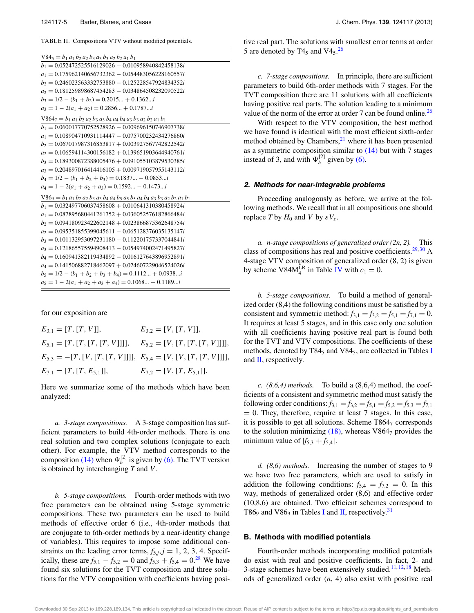<span id="page-5-0"></span>TABLE II. Compositions VTV without modified potentials.

| $V84_5 = b_1 a_1 b_2 a_2 b_3 a_3 b_3 a_2 b_2 a_1 b_1$                                |
|--------------------------------------------------------------------------------------|
| $b_1 = 0.052472525516129026 - 0.010958940842458138i$                                 |
| $a_1 = 0.175962140656732362 - 0.054483056228160557i$                                 |
| $b_2 = 0.246023563332753880 - 0.125228547924834352i$                                 |
| $a_2 = 0.181259898687454283 - 0.034864508232090522i$                                 |
| $b_3 = 1/2 - (b_1 + b_2) = 0.2015 + 0.1362$                                          |
| $a_3 = 1 - 2(a_1 + a_2) = 0.2856 + 0.1787$                                           |
| $V8647 = b_1 a_1 b_2 a_2 b_3 a_3 b_4 a_4 b_4 a_3 b_3 a_2 b_2 a_1 b_1$                |
| $b_1 = 0.060017770752528926 - 0.009696150746907738i$                                 |
| $a_1 = 0.108904710931114447 - 0.075700232434276860i$                                 |
| $b_2 = 0.067017987316853817 + 0.003927567742822542i$                                 |
| $a_2 = 0.106594114300156182 + 0.139651903644940761i$                                 |
| $b_3 = 0.189300872388005476 + 0.091055103879530385i$                                 |
| $a_3 = 0.204897016414416105 + 0.009719057955143112i$                                 |
| $b_4 = 1/2 - (b_1 + b_2 + b_3) = 0.1837 - 0.0853$                                    |
| $a_4 = 1 - 2(a_1 + a_2 + a_3) = 0.1592 - 0.1473i$                                    |
| $V869 = b_1 a_1 b_2 a_2 b_3 a_3 b_4 a_4 b_5 a_5 b_5 a_4 b_4 a_3 b_3 a_2 b_2 a_1 b_1$ |
| $b_1 = 0.032497706037458608 + 0.010641310380458924i$                                 |
| $a_1 = 0.087895680441261752 + 0.036052576182866484i$                                 |
| $b_2 = 0.094180923422602148 + 0.023866875362648754i$                                 |
| $a_2 = 0.095351855399045611 - 0.065128376035135147i$                                 |
| $b_3 = 0.101132953097231180 - 0.112201757337044841i$                                 |
| $a_3 = 0.121865575594908413 - 0.054974002471495827i$                                 |
| $b_4 = 0.160941382119434892 - 0.016127643896952891i$                                 |
| $a_4 = 0.141506882718462097 + 0.024607229046524026i$                                 |
| $b_5 = 1/2 - (b_1 + b_2 + b_3 + b_4) = 0.1112 + 0.0938$                              |
| $a_5 = 1 - 2(a_1 + a_2 + a_3 + a_4) = 0.1068 + 0.1189$                               |

for our exposition are

 $E_{3,1} = [T, [T, V]],$   $E_{3,2} = [V, [T, V]],$  $E_{5,1} = [T, [T, [T, [T, V]]]]$ ,  $E_{5,2} = [V, [T, [T, [T, V]]]]$ ,  $E_{5,3} = -[T, [V, [T, [T, V]]]]$ ,  $E_{5,4} = [V, [V, [T, [T, V]]]]$ ,  $E_{7,1} = [T, [T, E_{5,1}]]$ ,  $E_{7,2} = [V, [T, E_{5,1}]]$ .

Here we summarize some of the methods which have been analyzed:

*a. 3-stage compositions.* A 3-stage composition has sufficient parameters to build 4th-order methods. There is one real solution and two complex solutions (conjugate to each other). For example, the VTV method corresponds to the composition [\(14\)](#page-3-2) when  $\Psi_h^{[2]}$  is given by [\(6\).](#page-2-4) The TVT version is obtained by interchanging *T* and *V* .

*b. 5-stage compositions.* Fourth-order methods with two free parameters can be obtained using 5-stage symmetric compositions. These two parameters can be used to build methods of effective order 6 (i.e., 4th-order methods that are conjugate to 6th-order methods by a near-identity change of variables). This requires to impose some additional constraints on the leading error terms,  $f_{5,j}$ ,  $j = 1, 2, 3, 4$ . Specifically, these are  $f_{5,1} - f_{5,2} = 0$  and  $f_{5,3} + f_{5,4} = 0$ .<sup>[28](#page-11-16)</sup> We have found six solutions for the TVT composition and three solutions for the VTV composition with coefficients having positive real part. The solutions with smallest error terms at order 5 are denoted by  $T4_5$  and  $V4_5$ .<sup>[26](#page-11-15)</sup>

*c. 7-stage compositions.* In principle, there are sufficient parameters to build 6th-order methods with 7 stages. For the TVT composition there are 11 solutions with all coefficients having positive real parts. The solution leading to a minimum value of the norm of the error at order 7 can be found online.<sup>26</sup>

With respect to the VTV composition, the best method we have found is identical with the most efficient sixth-order method obtained by Chambers, $^{21}$  where it has been presented as a symmetric composition similar to [\(14\)](#page-3-2) but with 7 stages instead of 3, and with  $\Psi_h^{[2]}$  given by [\(6\).](#page-2-4)

#### **2. Methods for near-integrable problems**

Proceeding analogously as before, we arrive at the following methods. We recall that in all compositions one should replace *T* by  $H_0$  and *V* by  $\epsilon V_{\epsilon}$ .

*a. n-stage compositions of generalized order (2n, 2).* This class of compositions has real and positive coefficients. $29,30$  $29,30$  A 4-stage VTV composition of generalized order (8, 2) is given by scheme  $V84M_4^L$  in Table [IV](#page-6-0) with  $c_1 = 0$ .

*b. 5-stage compositions.* To build a method of generalized order (8,4) the following conditions must be satisfied by a consistent and symmetric method:  $f_{3,1} = f_{3,2} = f_{5,1} = f_{7,1} = 0$ . It requires at least 5 stages, and in this case only one solution with all coefficients having positive real part is found both for the TVT and VTV compositions. The coefficients of these methods, denoted by  $T84<sub>5</sub>$  and  $V84<sub>5</sub>$ , are collected in Tables [I](#page-4-2) and [II,](#page-5-0) respectively.

*c. (8,6,4) methods.* To build a (8,6,4) method, the coefficients of a consistent and symmetric method must satisfy the following order conditions:  $f_{3,1} = f_{3,2} = f_{5,1} = f_{5,2} = f_{5,3} = f_{7,1}$  $= 0$ . They, therefore, require at least 7 stages. In this case, it is possible to get all solutions. Scheme  $T864<sub>7</sub>$  corresponds to the solution minimizing  $(18)$ , whereas V864<sub>7</sub> provides the minimum value of  $|f_{5,3} + f_{5,4}|$ .

*d. (8,6) methods.* Increasing the number of stages to 9 we have two free parameters, which are used to satisfy in addition the following conditions:  $f_{5,4} = f_{7,2} = 0$ . In this way, methods of generalized order (8,6) and effective order (10,8,6) are obtained. Two efficient schemes correspond to T86<sub>9</sub> and V86<sub>9</sub> in Tables [I](#page-4-2) and [II,](#page-5-0) respectively.<sup>[31](#page-11-19)</sup>

## **B. Methods with modified potentials**

Fourth-order methods incorporating modified potentials do exist with real and positive coefficients. In fact, 2- and 3-stage schemes have been extensively studied.<sup>[11,](#page-11-20) [12,](#page-11-0) [18](#page-11-6)</sup> Methods of generalized order (*n*, 4) also exist with positive real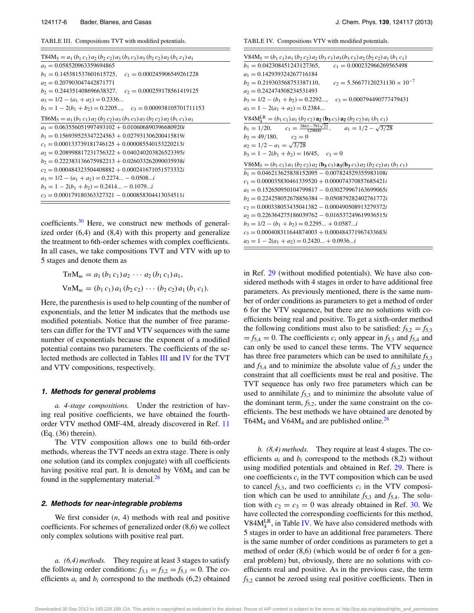<span id="page-6-1"></span>TABLE III. Compositions TVT with modified potentials.

| $T84M_5 = a_1 (b_1 c_1) a_2 (b_2 c_2) a_3 (b_3 c_3) a_3 (b_2 c_2) a_2 (b_1 c_1) a_1$ |
|--------------------------------------------------------------------------------------|
| $a_1 = 0.058520963359694865$                                                         |
| $b_1 = 0.145381537601615725$ ,<br>$c_1 = 0.000245906549261228$                       |
| $a_2 = 0.207903047442871771$                                                         |
| $b_2 = 0.244351408696638327$ , $c_2 = 0.000259178561419125$                          |
| $a_3 = 1/2 - (a_1 + a_2) = 0.2336$                                                   |
| $b_3 = 1 - 2(b_1 + b_2) = 0.2205$ , $c_3 = 0.000938105701711153$                     |
| $T86M_5 = a_1 (b_1 c_1) a_2 (b_2 c_2) a_3 (b_3 c_3) a_3 (b_2 c_2) a_2 (b_1 c_1) a_1$ |
| $a_1 = 0.063556051997493102 + 0.010606890396680920i$                                 |
| $b_1 = 0.156939525347224563 + 0.027931306200415819i$                                 |
| $c_1 = 0.000133739181746125 + 0.000085540153220213i$                                 |
| $a_2 = 0.208998817231756322 + 0.040240203826523395i$                                 |
| $b_2 = 0.222383136675982213 + 0.026033262090035938i$                                 |
| $c_2 = 0.000484323504408882 + 0.000241671051573332i$                                 |
| $a_3 = 1/2 - (a_1 + a_2) = 0.2274 - 0.0508i$                                         |
| $b_3 = 1 - 2(b_1 + b_2) = 0.2414 - 0.1079i$                                          |
| $c_3 = 0.000179180363327321 - 0.000858304413034511i$                                 |

coefficients.<sup>30</sup> Here, we construct new methods of generalized order (6,4) and (8,4) with this property and generalize the treatment to 6th-order schemes with complex coefficients. In all cases, we take compositions TVT and VTV with up to 5 stages and denote them as

$$
TnM_m = a_1 (b_1 c_1) a_2 \cdots a_2 (b_1 c_1) a_1,
$$
  
\n
$$
VnM_m = (b_1 c_1) a_1 (b_2 c_2) \cdots (b_2 c_2) a_1 (b_1 c_1).
$$

Here, the parenthesis is used to help counting of the number of exponentials, and the letter M indicates that the methods use modified potentials. Notice that the number of free parameters can differ for the TVT and VTV sequences with the same number of exponentials because the exponent of a modified potential contains two parameters. The coefficients of the selected methods are collected in Tables [III](#page-6-1) and [IV](#page-6-0) for the TVT and VTV compositions, respectively.

#### **1. Methods for general problems**

*a. 4-stage compositions.* Under the restriction of having real positive coefficients, we have obtained the fourthorder VTV method OMF-4M, already discovered in Ref. [11](#page-11-20) (Eq. (36) therein).

The VTV composition allows one to build 6th-order methods, whereas the TVT needs an extra stage. There is only one solution (and its complex conjugate) with all coefficients having positive real part. It is denoted by  $V6M<sub>4</sub>$  and can be found in the supplementary material.<sup>26</sup>

#### **2. Methods for near-integrable problems**

We first consider (*n*, 4) methods with real and positive coefficients. For schemes of generalized order (8,6) we collect only complex solutions with positive real part.

*a. (6,4) methods.* They require at least 3 stages to satisfy the following order conditions:  $f_{3,1} = f_{3,2} = f_{5,1} = 0$ . The coefficients  $a_i$  and  $b_i$  correspond to the methods  $(6,2)$  obtained

<span id="page-6-0"></span>TABLE IV. Compositions VTV with modified potentials.

| $V84M_5 = (b_1 c_1) a_1 (b_2 c_2) a_2 (b_3 c_3) a_3 (b_3 c_3) a_2 (b_2 c_2) a_1 (b_1 c_1)$ |
|--------------------------------------------------------------------------------------------|
| $b_1 = 0.042308451243127365$ ,<br>$c_1 = 0.000232966269565498$                             |
| $a_1 = 0.142939324267716184$                                                               |
| $b_2 = 0.219303568753387110,$ $c_2 = 5.56677120231130 \times 10^{-7}$                      |
| $a_2 = 0.242474508234531493$                                                               |
| $b_3 = 1/2 - (b_1 + b_2) = 0.2292$ , $c_3 = 0.000794490777479431$                          |
| $a_3 = 1 - 2(a_1 + a_2) = 0.2384$                                                          |
| $V84M_4^{LR} = (b_1 c_1) a_1 (b_2 c_2) a_2 (b_3 c_3) a_2 (b_2 c_2) a_1 (b_1 c_1)$          |
| $b_1 = 1/20$ , $c_1 = \frac{3861 - 791\sqrt{21}}{129600}$ , $a_1 = 1/2 - \sqrt{3/28}$      |
| $b_2 = 49/180,$ $c_2 = 0$                                                                  |
| $a_2 = 1/2 - a_1 = \sqrt{3/28}$                                                            |
| $b_3 = 1 - 2(b_1 + b_2) = 16/45$ , $c_3 = 0$                                               |
| $V86M_5 = (b_1 c_1) a_1 (b_2 c_2) a_2 (b_3 c_3) a_3 (b_3 c_3) a_2 (b_2 c_2) a_1 (b_1 c_1)$ |
| $b_1 = 0.046213625838152095 - 0.007824529355983108i$                                       |
| $c_1 = 0.000035830461339520 + 0.000074370857685421i$                                       |
| $a_1 = 0.152650950104799817 - 0.030279967163699065i$                                       |
| $b_2 = 0.224258052678856384 - 0.050879282402761772i$                                       |
| $c_2 = 0.000338053435041382 - 0.000490508913279372i$                                       |
| $a_2 = 0.226364275186039762 - 0.016537249619936515i$                                       |
| $b_3 = 1/2 - (b_1 + b_2) = 0.2295 + 0.0587$                                                |
| $c_3 = 0.000408311644874003 + 0.000484371967433683i$                                       |
| $a_3 = 1 - 2(a_1 + a_2) = 0.2420 + 0.0936$                                                 |

in Ref. [29](#page-11-17) (without modified potentials). We have also considered methods with 4 stages in order to have additional free parameters. As previously mentioned, there is the same number of order conditions as parameters to get a method of order 6 for the VTV sequence, but there are no solutions with coefficients being real and positive. To get a sixth-order method the following conditions must also to be satisfied:  $f_{5,2} = f_{5,3}$  $= f_{5,4} = 0$ . The coefficients  $c_i$  only appear in  $f_{5,3}$  and  $f_{5,4}$  and can only be used to cancel these terms. The VTV sequence has three free parameters which can be used to annihilate *f*5,3 and  $f_{5,4}$  and to minimize the absolute value of  $f_{5,2}$  under the constraint that all coefficients must be real and positive. The TVT sequence has only two free parameters which can be used to annihilate  $f_{5,3}$  and to minimize the absolute value of the dominant term,  $f_{5,2}$ , under the same constraint on the coefficients. The best methods we have obtained are denoted by T64 $M_4$  and V64 $M_4$  and are published online.<sup>[26](#page-11-15)</sup>

*b. (8,4) methods.* They require at least 4 stages. The coefficients  $a_i$  and  $b_i$  correspond to the methods  $(8,2)$  without using modified potentials and obtained in Ref. [29.](#page-11-17) There is one coefficients  $c_i$  in the TVT composition which can be used to cancel  $f_{5,3}$ , and two coefficients  $c_i$  in the VTV composition which can be used to annihilate  $f_{5,3}$  and  $f_{5,4}$ . The solution with  $c_2 = c_3 = 0$  was already obtained in Ref. [30.](#page-11-18) We have collected the corresponding coefficients for this method, V84 $M_4^L$ , in Table [IV.](#page-6-0) We have also considered methods with 5 stages in order to have an additional free parameters. There is the same number of order conditions as parameters to get a method of order (8,6) (which would be of order 6 for a general problem) but, obviously, there are no solutions with coefficients real and positive. As in the previous case, the term *f*5,2 cannot be zeroed using real positive coefficients. Then in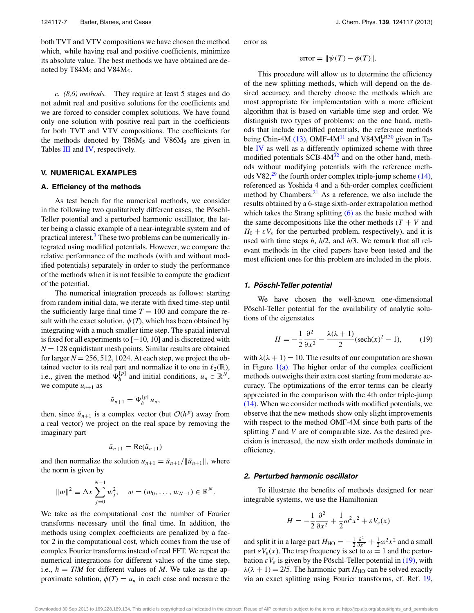both TVT and VTV compositions we have chosen the method which, while having real and positive coefficients, minimize its absolute value. The best methods we have obtained are denoted by T84 $M_5$  and V84 $M_5$ .

*c. (8,6) methods.* They require at least 5 stages and do not admit real and positive solutions for the coefficients and we are forced to consider complex solutions. We have found only one solution with positive real part in the coefficients for both TVT and VTV compositions. The coefficients for the methods denoted by  $T86M_5$  and  $V86M_5$  are given in Tables [III](#page-6-1) and [IV,](#page-6-0) respectively.

#### <span id="page-7-0"></span>**V. NUMERICAL EXAMPLES**

## **A. Efficiency of the methods**

As test bench for the numerical methods, we consider in the following two qualitatively different cases, the Pöschl-Teller potential and a perturbed harmonic oscillator, the latter being a classic example of a near-integrable system and of practical interest.<sup>[3](#page-10-1)</sup> These two problems can be numerically integrated using modified potentials. However, we compare the relative performance of the methods (with and without modified potentials) separately in order to study the performance of the methods when it is not feasible to compute the gradient of the potential.

The numerical integration proceeds as follows: starting from random initial data, we iterate with fixed time-step until the sufficiently large final time  $T = 100$  and compare the result with the exact solution,  $\psi(T)$ , which has been obtained by integrating with a much smaller time step. The spatial interval is fixed for all experiments to [−10, 10] and is discretized with  $N = 128$  equidistant mesh points. Similar results are obtained for larger  $N = 256, 512, 1024$ . At each step, we project the obtained vector to its real part and normalize it to one in  $\ell_2(\mathbb{R})$ , i.e., given the method  $\Psi_h^{[p]}$  and initial conditions,  $u_n \in \mathbb{R}^N$ , we compute  $u_{n+1}$  as

$$
\tilde{u}_{n+1} = \Psi_h^{[p]} u_n,
$$

then, since  $\tilde{u}_{n+1}$  is a complex vector (but  $\mathcal{O}(h^p)$  away from a real vector) we project on the real space by removing the imaginary part

$$
\bar{u}_{n+1} = \text{Re}(\tilde{u}_{n+1})
$$

and then normalize the solution  $u_{n+1} = \bar{u}_{n+1}/\|\bar{u}_{n+1}\|$ , where the norm is given by

$$
||w||^2 \equiv \Delta x \sum_{j=0}^{N-1} w_j^2
$$
,  $w = (w_0, \dots, w_{N-1}) \in \mathbb{R}^N$ .

We take as the computational cost the number of Fourier transforms necessary until the final time. In addition, the methods using complex coefficients are penalized by a factor 2 in the computational cost, which comes from the use of complex Fourier transforms instead of real FFT. We repeat the numerical integrations for different values of the time step, i.e.,  $h = T/M$  for different values of M. We take as the approximate solution,  $\phi(T) = u_n$  in each case and measure the error as

 $error = ||\psi(T) - \phi(T)||.$ 

This procedure will allow us to determine the efficiency of the new splitting methods, which will depend on the desired accuracy, and thereby choose the methods which are most appropriate for implementation with a more efficient algorithm that is based on variable time step and order. We distinguish two types of problems: on the one hand, methods that include modified potentials, the reference methods being Chin-4M [\(13\),](#page-3-3) OMF-4M<sup>[11](#page-11-20)</sup> and V84M<sup>LR[30](#page-11-18)</sup> given in Table [IV](#page-6-0) as well as a differently optimized scheme with three modified potentials  $SCB-4M<sup>32</sup>$  and on the other hand, methods without modifying potentials with the reference meth-ods V82,<sup>[29](#page-11-17)</sup> the fourth order complex triple-jump scheme  $(14)$ , referenced as Yoshida 4 and a 6th-order complex coefficient method by Chambers. $21$  As a reference, we also include the results obtained by a 6-stage sixth-order extrapolation method which takes the Strang splitting  $(6)$  as the basic method with the same decompositions like the other methods  $(T + V$  and  $H_0 + \varepsilon V_{\varepsilon}$  for the perturbed problem, respectively), and it is used with time steps *h*, *h*/2, and *h*/3. We remark that all relevant methods in the cited papers have been tested and the most efficient ones for this problem are included in the plots.

#### **1. Pöschl-Teller potential**

We have chosen the well-known one-dimensional Pöschl-Teller potential for the availability of analytic solutions of the eigenstates

<span id="page-7-1"></span>
$$
H = -\frac{1}{2}\frac{\partial^2}{\partial x^2} - \frac{\lambda(\lambda+1)}{2}(\mathrm{sech}(x)^2 - 1),\qquad(19)
$$

with  $\lambda(\lambda + 1) = 10$ . The results of our computation are shown in Figure  $1(a)$ . The higher order of the complex coefficient methods outweighs their extra cost starting from moderate accuracy. The optimizations of the error terms can be clearly appreciated in the comparison with the 4th order triple-jump [\(14\).](#page-3-2) When we consider methods with modified potentials, we observe that the new methods show only slight improvements with respect to the method OMF-4M since both parts of the splitting *T* and *V* are of comparable size. As the desired precision is increased, the new sixth order methods dominate in efficiency.

### **2. Perturbed harmonic oscillator**

To illustrate the benefits of methods designed for near integrable systems, we use the Hamiltonian

$$
H = -\frac{1}{2}\frac{\partial^2}{\partial x^2} + \frac{1}{2}\omega^2 x^2 + \varepsilon V_{\varepsilon}(x)
$$

and split it in a large part  $H_{HO} = -\frac{1}{2} \frac{\partial^2}{\partial x^2} + \frac{1}{2} \omega^2 x^2$  and a small part  $\epsilon V_{\epsilon}(x)$ . The trap frequency is set to  $\omega = 1$  and the perturbation  $\epsilon V_{\epsilon}$  is given by the Pöschl-Teller potential in [\(19\),](#page-7-1) with  $\lambda(\lambda + 1) = 2/5$ . The harmonic part  $H_{HO}$  can be solved exactly via an exact splitting using Fourier transforms, cf. Ref. [19,](#page-11-7)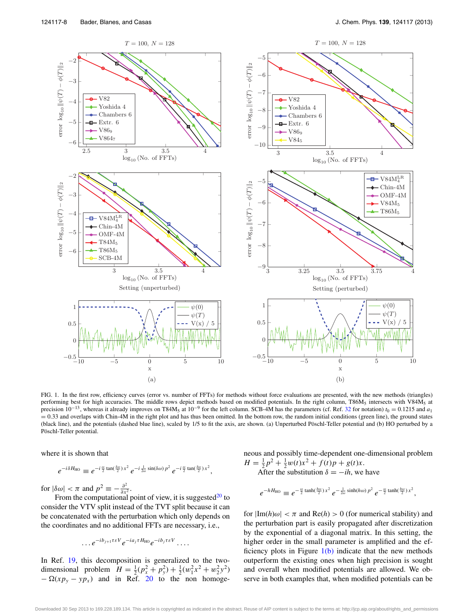<span id="page-8-0"></span>

FIG. 1. In the first row, efficiency curves (error vs. number of FFTs) for methods without force evaluations are presented, with the new methods (triangles) performing best for high accuracies. The middle rows depict methods based on modified potentials. In the right column, T86M<sub>5</sub> intersects with V84M<sub>5</sub> at precision  $10^{-13}$ , whereas it already improves on T84M<sub>5</sub> at  $10^{-9}$  for the left column. SCB-4M has the parameters (cf. Ref. [32](#page-11-21) for notation)  $t_0 = 0.1215$  and  $a_1$  $= 0.33$  and overlaps with Chin-4M in the right plot and has thus been omitted. In the bottom row, the random initial conditions (green line), the ground states (black line), and the potentials (dashed blue line), scaled by 1/5 to fit the axis, are shown. (a) Unperturbed Pöschl-Teller potential and (b) HO perturbed by a Pöschl-Teller potential.

where it is shown that

$$
e^{-i\delta H_{\rm HO}} \equiv e^{-i\frac{\omega}{2}\tan(\frac{\delta\omega}{2})x^2} e^{-i\frac{1}{2\omega}\sin(\delta\omega)} p^2 e^{-i\frac{\omega}{2}\tan(\frac{\delta\omega}{2})x^2},
$$

for  $|\delta \omega| < \pi$  and  $p^2 \equiv -\frac{\partial^2}{\partial x^2}$ .

From the computational point of view, it is suggested $^{20}$  to consider the VTV split instead of the TVT split because it can be concatenated with the perturbation which only depends on the coordinates and no additional FFTs are necessary, i.e.,

$$
\ldots e^{-ib_{j+1}\tau\epsilon V}e^{-ia_j\tau H_{\text{HO}}}e^{-ib_j\tau\epsilon V}\ldots
$$

In Ref. [19,](#page-11-7) this decomposition is generalized to the twodimensional problem  $H = \frac{1}{2}(p_x^2 + p_y^2) + \frac{1}{2}(w_1^2x^2 + w_2^2y^2)$  $-\Omega(xp_y - yp_x)$  and in Ref. [20](#page-11-8) to the non homogeneous and possibly time-dependent one-dimensional problem  $H = \frac{1}{2}p^2 + \frac{1}{2}w(t)x^2 + f(t)p + g(t)x.$ After the substitution  $\delta = -ih$ , we have

$$
e^{-hH_{\text{HO}}} \equiv e^{-\frac{\omega}{2}\tanh(\frac{h\omega}{2})x^2}e^{-\frac{1}{2\omega}\sinh(h\omega)p^2}e^{-\frac{\omega}{2}\tanh(\frac{h\omega}{2})x^2},
$$

for  $|\text{Im}(h)\omega| < \pi$  and  $\text{Re}(h) > 0$  (for numerical stability) and the perturbation part is easily propagated after discretization by the exponential of a diagonal matrix. In this setting, the higher order in the small parameter is amplified and the efficiency plots in Figure  $1(b)$  indicate that the new methods outperform the existing ones when high precision is sought and overall when modified potentials are allowed. We observe in both examples that, when modified potentials can be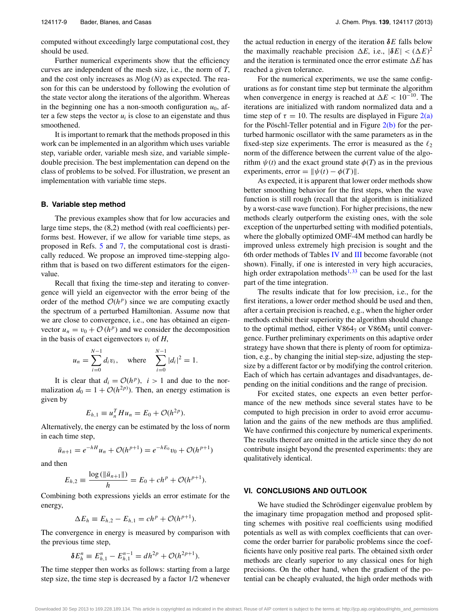computed without exceedingly large computational cost, they should be used.

Further numerical experiments show that the efficiency curves are independent of the mesh size, i.e., the norm of *T*, and the cost only increases as *N*log (*N*) as expected. The reason for this can be understood by following the evolution of the state vector along the iterations of the algorithm. Whereas in the beginning one has a non-smooth configuration  $u_0$ , after a few steps the vector  $u_i$  is close to an eigenstate and thus smoothened.

It is important to remark that the methods proposed in this work can be implemented in an algorithm which uses variable step, variable order, variable mesh size, and variable simpledouble precision. The best implementation can depend on the class of problems to be solved. For illustration, we present an implementation with variable time steps.

### <span id="page-9-0"></span>**B. Variable step method**

The previous examples show that for low accuracies and large time steps, the (8,2) method (with real coefficients) performs best. However, if we allow for variable time steps, as proposed in Refs. [5](#page-10-3) and [7,](#page-10-5) the computational cost is drastically reduced. We propose an improved time-stepping algorithm that is based on two different estimators for the eigenvalue.

Recall that fixing the time-step and iterating to convergence will yield an eigenvector with the error being of the order of the method  $O(h^p)$  since we are computing exactly the spectrum of a perturbed Hamiltonian. Assume now that we are close to convergence, i.e., one has obtained an eigenvector  $u_n = v_0 + \mathcal{O}(h^p)$  and we consider the decomposition in the basis of exact eigenvectors  $v_i$  of  $H$ ,

$$
u_n = \sum_{i=0}^{N-1} d_i v_i, \quad \text{where} \quad \sum_{i=0}^{N-1} |d_i|^2 = 1.
$$

It is clear that  $d_i = \mathcal{O}(h^p)$ ,  $i > 1$  and due to the normalization  $d_0 = 1 + \mathcal{O}(h^{2p})$ . Then, an energy estimation is given by

$$
E_{h,1} \equiv u_n^T H u_n = E_0 + \mathcal{O}(h^{2p}).
$$

Alternatively, the energy can be estimated by the loss of norm in each time step,

$$
\bar{u}_{n+1} = e^{-hH}u_n + \mathcal{O}(h^{p+1}) = e^{-hE_0}v_0 + \mathcal{O}(h^{p+1})
$$

and then

$$
E_{h,2} \equiv \frac{\log(\|\bar{u}_{n+1}\|)}{h} = E_0 + ch^p + \mathcal{O}(h^{p+1}).
$$

Combining both expressions yields an error estimate for the energy,

$$
\Delta E_h \equiv E_{h,2} - E_{h,1} = ch^p + \mathcal{O}(h^{p+1}).
$$

The convergence in energy is measured by comparison with the previous time step,

$$
\delta E_h^n \equiv E_{h,1}^n - E_{h,1}^{n-1} = dh^{2p} + \mathcal{O}(h^{2p+1}).
$$

The time stepper then works as follows: starting from a large step size, the time step is decreased by a factor 1/2 whenever the actual reduction in energy of the iteration *δE* falls below the maximally reachable precision  $\Delta E$ , i.e.,  $|\delta E| < (\Delta E)^2$ and the iteration is terminated once the error estimate  $\Delta E$  has reached a given tolerance.

For the numerical experiments, we use the same configurations as for constant time step but terminate the algorithm when convergence in energy is reached at  $\Delta E < 10^{-10}$ . The iterations are initialized with random normalized data and a time step of  $\tau = 10$ . The results are displayed in Figure  $2(a)$ for the Pöschl-Teller potential and in Figure  $2(b)$  for the perturbed harmonic oscillator with the same parameters as in the fixed-step size experiments. The error is measured as the  $\ell_2$ norm of the difference between the current value of the algorithm  $\psi(t)$  and the exact ground state  $\phi(T)$  as in the previous experiments, error =  $\|\psi(t) - \phi(T)\|$ .

As expected, it is apparent that lower order methods show better smoothing behavior for the first steps, when the wave function is still rough (recall that the algorithm is initialized by a worst-case wave function). For higher precisions, the new methods clearly outperform the existing ones, with the sole exception of the unperturbed setting with modified potentials, where the globally optimized OMF-4M method can hardly be improved unless extremely high precision is sought and the 6th order methods of Tables [IV](#page-6-0) and [III](#page-6-1) become favorable (not shown). Finally, if one is interested in very high accuracies, high order extrapolation methods<sup>[1,](#page-10-0) [33](#page-11-22)</sup> can be used for the last part of the time integration.

The results indicate that for low precision, i.e., for the first iterations, a lower order method should be used and then, after a certain precision is reached, e.g., when the higher order methods exhibit their superiority the algorithm should change to the optimal method, either  $V864<sub>7</sub>$  or  $V86M<sub>5</sub>$  until convergence. Further preliminary experiments on this adaptive order strategy have shown that there is plenty of room for optimization, e.g., by changing the initial step-size, adjusting the stepsize by a different factor or by modifying the control criterion. Each of which has certain advantages and disadvantages, depending on the initial conditions and the range of precision.

For excited states, one expects an even better performance of the new methods since several states have to be computed to high precision in order to avoid error accumulation and the gains of the new methods are thus amplified. We have confirmed this conjecture by numerical experiments. The results thereof are omitted in the article since they do not contribute insight beyond the presented experiments: they are qualitatively identical.

## **VI. CONCLUSIONS AND OUTLOOK**

We have studied the Schrödinger eigenvalue problem by the imaginary time propagation method and proposed splitting schemes with positive real coefficients using modified potentials as well as with complex coefficients that can overcome the order barrier for parabolic problems since the coefficients have only positive real parts. The obtained sixth order methods are clearly superior to any classical ones for high precisions. On the other hand, when the gradient of the potential can be cheaply evaluated, the high order methods with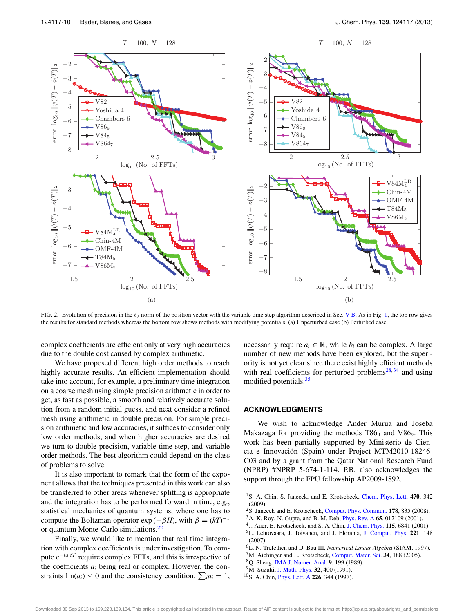<span id="page-10-9"></span>

FIG. 2. Evolution of precision in the  $\ell_2$  norm of the position vector with the variable time step algorithm described in Sec. [V B.](#page-9-0) As in Fig. [1,](#page-8-0) the top row gives the results for standard methods whereas the bottom row shows methods with modifying potentials. (a) Unperturbed case (b) Perturbed case.

complex coefficients are efficient only at very high accuracies due to the double cost caused by complex arithmetic.

We have proposed different high order methods to reach highly accurate results. An efficient implementation should take into account, for example, a preliminary time integration on a coarse mesh using simple precision arithmetic in order to get, as fast as possible, a smooth and relatively accurate solution from a random initial guess, and next consider a refined mesh using arithmetic in double precision. For simple precision arithmetic and low accuracies, it suffices to consider only low order methods, and when higher accuracies are desired we turn to double precision, variable time step, and variable order methods. The best algorithm could depend on the class of problems to solve.

It is also important to remark that the form of the exponent allows that the techniques presented in this work can also be transferred to other areas whenever splitting is appropriate and the integration has to be performed forward in time, e.g., statistical mechanics of quantum systems, where one has to compute the Boltzman operator  $exp(-\beta H)$ , with  $\beta = (kT)^{-1}$ or quantum Monte-Carlo simulations.<sup>[22](#page-11-10)</sup>

Finally, we would like to mention that real time integration with complex coefficients is under investigation. To compute e<sup>−*ia<sub>i</sub>tT*</sup> requires complex FFTs, and this is irrespective of the coefficients  $a_i$  being real or complex. However, the constraints Im( $a_i$ )  $\leq 0$  and the consistency condition,  $\sum_i a_i = 1$ , necessarily require  $a_i \in \mathbb{R}$ , while  $b_i$  can be complex. A large number of new methods have been explored, but the superiority is not yet clear since there exist highly efficient methods with real coefficients for perturbed problems<sup>[28,](#page-11-16) [34](#page-11-23)</sup> and using modified potentials.<sup>[35](#page-11-24)</sup>

## **ACKNOWLEDGMENTS**

We wish to acknowledge Ander Murua and Joseba Makazaga for providing the methods  $T86<sub>9</sub>$  and  $V86<sub>9</sub>$ . This work has been partially supported by Ministerio de Ciencia e Innovación (Spain) under Project MTM2010-18246- C03 and by a grant from the Qatar National Research Fund (NPRP) #NPRP 5-674-1-114. P.B. also acknowledges the support through the FPU fellowship AP2009-1892.

- <span id="page-10-1"></span>2S. Janecek and E. Krotscheck, [Comput. Phys. Commun.](http://dx.doi.org/10.1016/j.cpc.2008.01.035) **178**, 835 (2008).
- <span id="page-10-2"></span>3A. K. Roy, N. Gupta, and B. M. Deb, [Phys. Rev. A](http://dx.doi.org/10.1103/PhysRevA.65.012109) **65**, 012109 (2001).
- <span id="page-10-3"></span>4J. Auer, E. Krotscheck, and S. A. Chin, [J. Chem. Phys.](http://dx.doi.org/10.1063/1.1404142) **115**, 6841 (2001). 5L. Lehtovaara, J. Toivanen, and J. Eloranta, [J. Comput. Phys.](http://dx.doi.org/10.1016/j.jcp.2006.06.006) **221**, 148 (2007).
- <span id="page-10-5"></span><span id="page-10-4"></span>6L. N. Trefethen and D. Bau III, *Numerical Linear Algebra* (SIAM, 1997).
- <span id="page-10-6"></span>7M. Aichinger and E. Krotscheck, [Comput. Mater. Sci.](http://dx.doi.org/10.1016/j.commatsci.2004.11.002) **34**, 188 (2005).
- <span id="page-10-7"></span>8Q. Sheng, [IMA J. Numer. Anal.](http://dx.doi.org/10.1093/imanum/9.2.199) **9**, 199 (1989).
- <span id="page-10-8"></span>9M. Suzuki, [J. Math. Phys.](http://dx.doi.org/10.1063/1.529425) **32**, 400 (1991).
- 10S. A. Chin, [Phys. Lett. A](http://dx.doi.org/10.1016/S0375-9601(97)00003-0) **226**, 344 (1997).

<span id="page-10-0"></span><sup>&</sup>lt;sup>1</sup>S. A. Chin, S. Janecek, and E. Krotscheck, [Chem. Phys. Lett.](http://dx.doi.org/10.1016/j.cplett.2009.01.068) 470, 342 (2009).